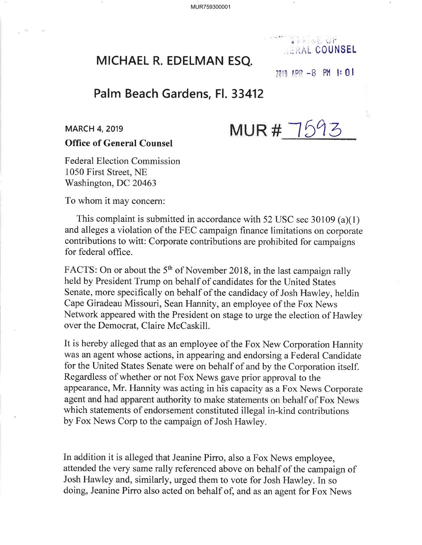MUR759300001

# MICHAEL R. EDELMAN ESQ.

# $7119$   $198 - 8$   $91$   $\pm 0$   $\pm$

## Palm Beach Gardens, Fl. 33412

MUR  $\#$  1593

 $k$  , iii, if **II. RAL COUNSEL** 

### Office of General Counsel

Federal Election Commission 1050 First Street, NE 'Washington, DC <sup>20463</sup>

To whom it may concern:

This complaint is submitted in accordance with 52 USC sec 30109 (a)(1) and alleges a violation of the FEC campaign finance limitations on corporate contributions to witt: Corporate contributions are prohibited for campaigns for federal office.

FACTS: On or about the 5<sup>th</sup> of November 2018, in the last campaign rally held by President Trump on behalf of candidates for the United States Senate, more specifically on behalf of the candidacy of Josh Hawley, heldin Cape Giradeau Missouri, Sean Hannity, an employee of the Fox News Network appeared with the President on stage to urge the election of Hawley over the Democrat, Claire McCaskill.

It is hereby alleged that as an employee of the Fox New Corporation Hannity was an agent whose actions, in appearing and endorsing a Federal Candidate for the United States Senate were on behalf of and by the Corporation itself. Regardless of whether or not Fox News gave prior approval to the appearance, Mr. Hannity was acting in his capacity as a Fox News Corporate agent and had apparent authority to make statements on behalf of Fox News which statements of endorsement constituted illegal in-kind contributions by Fox News Corp to the campaign of Josh Hawley.

In addition it is alleged that Jeanine Pirro, also a Fox News employee, attended the very same rally referenced above on behalf of the campaign of Josh Hawley and, similarly, urged them to vote for Josh Hawley. In so doing, Jeanine Pirro also acted on behalf of, and as an agent for Fox News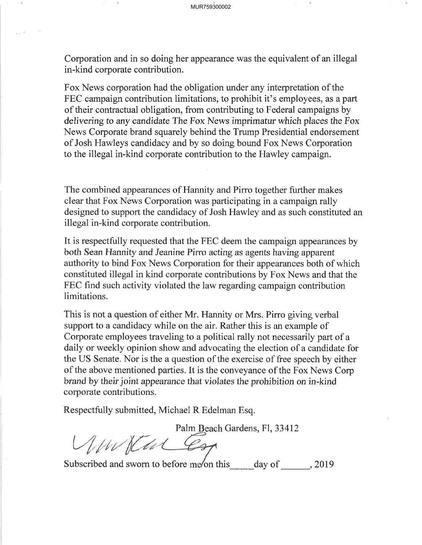Corporation and in so doing her appearance was the equivalent of an illegal in-kind corporate contribution.

Fox News corporation had the obligation under any interpretation of the FEC campaign contribution limitations, to prohibit it's employees, as a part of their contractual obligation, from contributing to Federal campaigns by delivering to any candidate The Fox News imprimatur which places the Fox News Corporate brand squarely behind the Trump Presidential endorsement of Josh Hawleys candidacy and by so doing bound Fox News Corporation to the illegal in-kind corporate contribution to the Hawley campaign.

The combined appearances of Hannity and Pirro together further makes clear that Fox News Corporation was participating in a campaign rally designed to support the candidacy of Josh Hawley and as such constituted an illegal in-kind corporate contribution.

It is respectfully requested that the FEC deem the campaign appearances by both Sean Hannity and Jeanine Pirro acting as agents having apparent authority to bind Fox News Corporation for their appearances both of which constituted illegal in kind corporate contributions by Fox News and that the FEC find such activity violated the law regarding campaign contribution limitations.

This is not a question of either Mr. Hannity or Mrs. Pirro giving verbal support to a candidacy while on the air. Rather this is an example of Corporate employees traveling to a political rally not necessarily part of a daily or weekly opinion show and advocating the election of a candidate for the US Senate. Nor is the a question of the exercise of free speech by either of the above mentioned parties. It is the conveyance of the Fox News Corp brand by their joint appearance that violates the prohibition on in-kind corporate contributions.

Respectfully submitted, Michael R Edelman Esq.

Palm Beach Gardens, Fl, 33412

Subscribed and sworn to before me/on this day of 3019